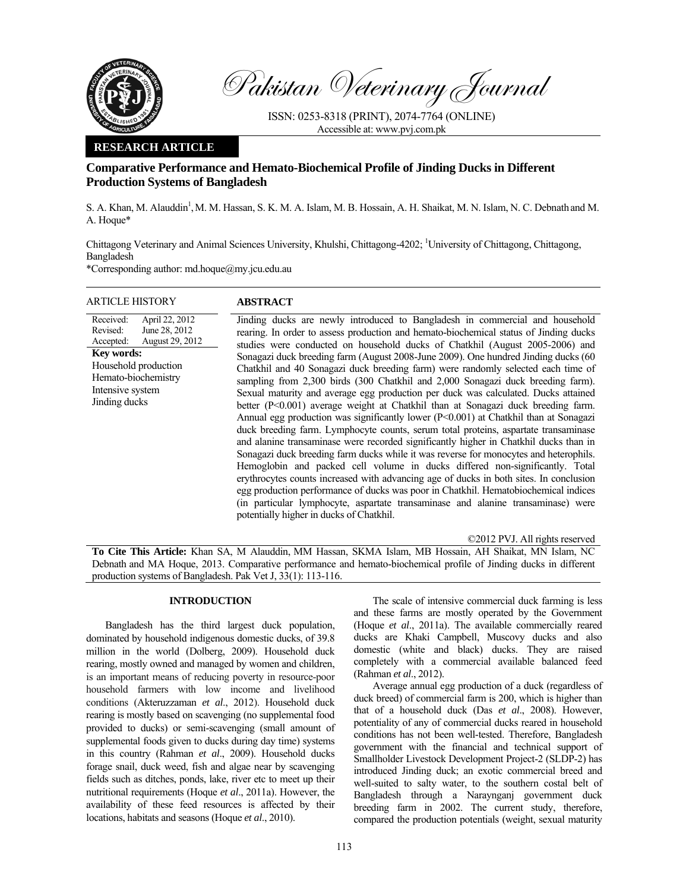

Pakistan Veterinary Journal

ISSN: 0253-8318 (PRINT), 2074-7764 (ONLINE) Accessible at: www.pvj.com.pk

### **RESEARCH ARTICLE**

# **Comparative Performance and Hemato-Biochemical Profile of Jinding Ducks in Different Production Systems of Bangladesh**

S. A. Khan, M. Alauddin<sup>1</sup>, M. M. Hassan, S. K. M. A. Islam, M. B. Hossain, A. H. Shaikat, M. N. Islam, N. C. Debnath and M. A. Hoque\*

Chittagong Veterinary and Animal Sciences University, Khulshi, Chittagong-4202; <sup>1</sup>University of Chittagong, Chittagong, Bangladesh

\*Corresponding author: md.hoque@my.jcu.edu.au

| ARTICLE HISTORY                                                                              |                                                                                                   | <b>ABSTRACT</b>                                                                                                                                                                                                                                                                                                                                                                                                                                                                                                                                                                                                                                                                                                                                                                                                                                                                                                                                                                                                                                                                                                                                                                                                                                                                                                                                                                                                                                                |
|----------------------------------------------------------------------------------------------|---------------------------------------------------------------------------------------------------|----------------------------------------------------------------------------------------------------------------------------------------------------------------------------------------------------------------------------------------------------------------------------------------------------------------------------------------------------------------------------------------------------------------------------------------------------------------------------------------------------------------------------------------------------------------------------------------------------------------------------------------------------------------------------------------------------------------------------------------------------------------------------------------------------------------------------------------------------------------------------------------------------------------------------------------------------------------------------------------------------------------------------------------------------------------------------------------------------------------------------------------------------------------------------------------------------------------------------------------------------------------------------------------------------------------------------------------------------------------------------------------------------------------------------------------------------------------|
| Received:<br>Revised:<br>Accepted:<br><b>Key words:</b><br>Intensive system<br>Jinding ducks | April 22, 2012<br>June 28, 2012<br>August 29, 2012<br>Household production<br>Hemato-biochemistry | Jinding ducks are newly introduced to Bangladesh in commercial and household<br>rearing. In order to assess production and hemato-biochemical status of Jinding ducks<br>studies were conducted on household ducks of Chatkhil (August 2005-2006) and<br>Sonagazi duck breeding farm (August 2008-June 2009). One hundred Jinding ducks (60<br>Chatkhil and 40 Sonagazi duck breeding farm) were randomly selected each time of<br>sampling from 2,300 birds (300 Chatkhil and 2,000 Sonagazi duck breeding farm).<br>Sexual maturity and average egg production per duck was calculated. Ducks attained<br>better (P<0.001) average weight at Chatkhil than at Sonagazi duck breeding farm.<br>Annual egg production was significantly lower (P<0.001) at Chatkhil than at Sonagazi<br>duck breeding farm. Lymphocyte counts, serum total proteins, aspartate transaminase<br>and alanine transaminase were recorded significantly higher in Chatkhil ducks than in<br>Sonagazi duck breeding farm ducks while it was reverse for monocytes and heterophils.<br>Hemoglobin and packed cell volume in ducks differed non-significantly. Total<br>erythrocytes counts increased with advancing age of ducks in both sites. In conclusion<br>egg production performance of ducks was poor in Chatkhil. Hematobiochemical indices<br>(in particular lymphocyte, aspartate transaminase and alanine transaminase) were<br>potentially higher in ducks of Chatkhil. |

©2012 PVJ. All rights reserved

**To Cite This Article:** Khan SA, M Alauddin, MM Hassan, SKMA Islam, MB Hossain, AH Shaikat, MN Islam, NC Debnath and MA Hoque, 2013. Comparative performance and hemato-biochemical profile of Jinding ducks in different production systems of Bangladesh. Pak Vet J, 33(1): 113-116.

## **INTRODUCTION**

Bangladesh has the third largest duck population, dominated by household indigenous domestic ducks, of 39.8 million in the world (Dolberg, 2009). Household duck rearing, mostly owned and managed by women and children, is an important means of reducing poverty in resource-poor household farmers with low income and livelihood conditions (Akteruzzaman *et al*., 2012). Household duck rearing is mostly based on scavenging (no supplemental food provided to ducks) or semi-scavenging (small amount of supplemental foods given to ducks during day time) systems in this country (Rahman *et al*., 2009). Household ducks forage snail, duck weed, fish and algae near by scavenging fields such as ditches, ponds, lake, river etc to meet up their nutritional requirements (Hoque *et al*., 2011a). However, the availability of these feed resources is affected by their locations, habitats and seasons (Hoque *et al*., 2010).

The scale of intensive commercial duck farming is less and these farms are mostly operated by the Government (Hoque *et al*., 2011a). The available commercially reared ducks are Khaki Campbell, Muscovy ducks and also domestic (white and black) ducks. They are raised completely with a commercial available balanced feed (Rahman *et al*., 2012).

Average annual egg production of a duck (regardless of duck breed) of commercial farm is 200, which is higher than that of a household duck (Das *et al*., 2008). However, potentiality of any of commercial ducks reared in household conditions has not been well-tested. Therefore, Bangladesh government with the financial and technical support of Smallholder Livestock Development Project-2 (SLDP-2) has introduced Jinding duck; an exotic commercial breed and well-suited to salty water, to the southern costal belt of Bangladesh through a Naraynganj government duck breeding farm in 2002. The current study, therefore, compared the production potentials (weight, sexual maturity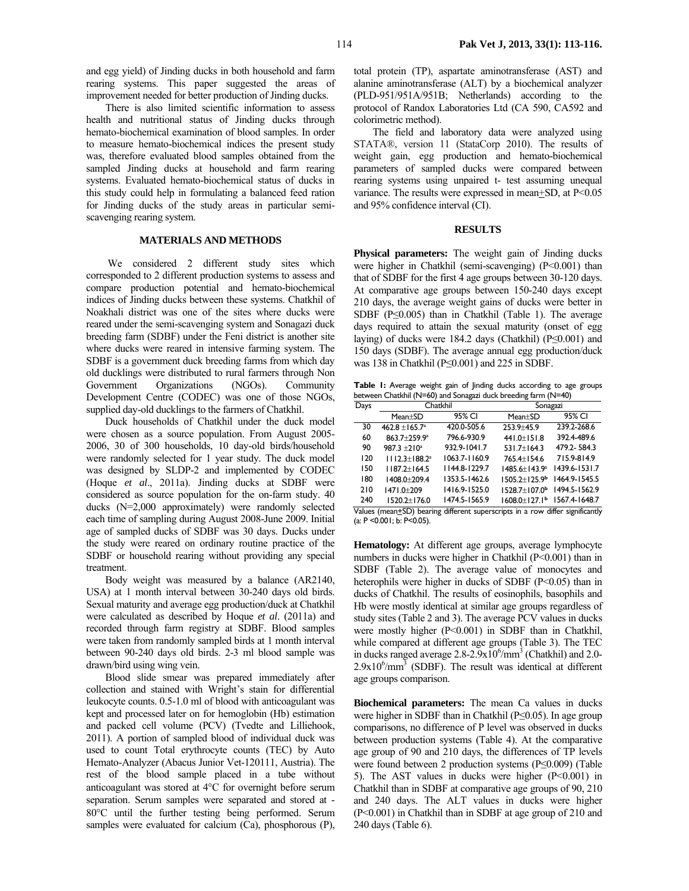and egg yield) of Jinding ducks in both household and farm rearing systems. This paper suggested the areas of improvement needed for better production of Jinding ducks.

There is also limited scientific information to assess health and nutritional status of Jinding ducks through hemato-biochemical examination of blood samples. In order to measure hemato-biochemical indices the present study was, therefore evaluated blood samples obtained from the sampled Jinding ducks at household and farm rearing systems. Evaluated hemato-biochemical status of ducks in this study could help in formulating a balanced feed ration for Jinding ducks of the study areas in particular semiscavenging rearing system.

### **MATERIALS AND METHODS**

We considered 2 different study sites which corresponded to 2 different production systems to assess and compare production potential and hemato-biochemical indices of Jinding ducks between these systems. Chatkhil of Noakhali district was one of the sites where ducks were reared under the semi-scavenging system and Sonagazi duck breeding farm (SDBF) under the Feni district is another site where ducks were reared in intensive farming system. The SDBF is a government duck breeding farms from which day old ducklings were distributed to rural farmers through Non Government Organizations (NGOs). Community Development Centre (CODEC) was one of those NGOs, supplied day-old ducklings to the farmers of Chatkhil.

Duck households of Chatkhil under the duck model were chosen as a source population. From August 2005- 2006, 30 of 300 households, 10 day-old birds/household were randomly selected for 1 year study. The duck model was designed by SLDP-2 and implemented by CODEC (Hoque *et al*., 2011a). Jinding ducks at SDBF were considered as source population for the on-farm study. 40 ducks (N=2,000 approximately) were randomly selected each time of sampling during August 2008-June 2009. Initial age of sampled ducks of SDBF was 30 days. Ducks under the study were reared on ordinary routine practice of the SDBF or household rearing without providing any special treatment.

Body weight was measured by a balance (AR2140, USA) at 1 month interval between 30-240 days old birds. Sexual maturity and average egg production/duck at Chatkhil were calculated as described by Hoque *et al*. (2011a) and recorded through farm registry at SDBF. Blood samples were taken from randomly sampled birds at 1 month interval between 90-240 days old birds. 2-3 ml blood sample was drawn/bird using wing vein.

Blood slide smear was prepared immediately after collection and stained with Wright's stain for differential leukocyte counts. 0.5-1.0 ml of blood with anticoagulant was kept and processed later on for hemoglobin (Hb) estimation and packed cell volume (PCV) (Tvedte and Lilliehook, 2011). A portion of sampled blood of individual duck was used to count Total erythrocyte counts (TEC) by Auto Hemato-Analyzer (Abacus Junior Vet-120111, Austria). The rest of the blood sample placed in a tube without anticoagulant was stored at 4°C for overnight before serum separation. Serum samples were separated and stored at - 80°C until the further testing being performed. Serum samples were evaluated for calcium (Ca), phosphorous (P),

total protein (TP), aspartate aminotransferase (AST) and alanine aminotransferase (ALT) by a biochemical analyzer (PLD-951/951A/951B; Netherlands) according to the protocol of Randox Laboratories Ltd (CA 590, CA592 and colorimetric method).

The field and laboratory data were analyzed using STATA®, version 11 (StataCorp 2010). The results of weight gain, egg production and hemato-biochemical parameters of sampled ducks were compared between rearing systems using unpaired t- test assuming unequal variance. The results were expressed in mean+SD, at P<0.05 and 95% confidence interval (CI).

#### **RESULTS**

**Physical parameters:** The weight gain of Jinding ducks were higher in Chatkhil (semi-scavenging) (P<0.001) than that of SDBF for the first 4 age groups between 30-120 days. At comparative age groups between 150-240 days except 210 days, the average weight gains of ducks were better in SDBF ( $P \le 0.005$ ) than in Chatkhil (Table 1). The average days required to attain the sexual maturity (onset of egg laying) of ducks were 184.2 days (Chatkhil) (P≤0.001) and 150 days (SDBF). The average annual egg production/duck was 138 in Chatkhil (P≤0.001) and 225 in SDBF.

**Table 1:** Average weight gain of Jinding ducks according to age groups between Chatkhil (N=60) and Sonagazi duck breeding farm (N=40)

| Days                                                                                                                                                                                                                                                           |                           | Chatkhil      | Sonagazi                                 |               |  |  |  |
|----------------------------------------------------------------------------------------------------------------------------------------------------------------------------------------------------------------------------------------------------------------|---------------------------|---------------|------------------------------------------|---------------|--|--|--|
|                                                                                                                                                                                                                                                                | $Mean \pm SD$             | 95% CI        | $Mean \pm SD$                            | 95% CI        |  |  |  |
| 30                                                                                                                                                                                                                                                             | $462.8 + 165.7a$          | 420.0-505.6   | $253.9 + 45.9$                           | 239.2-268.6   |  |  |  |
| 60                                                                                                                                                                                                                                                             | $863.7 \pm 259.9^{\circ}$ | 796.6-930.9   | $441.0 + 151.8$                          | 392.4-489.6   |  |  |  |
| 90                                                                                                                                                                                                                                                             | $987.3 + 210a$            | 932.9-1041.7  | $531.7 + 164.3$                          | 479.2-584.3   |  |  |  |
| 120                                                                                                                                                                                                                                                            | $1112.3 + 188.2a$         | 1063.7-1160.9 | 765.4+154.6                              | 715.9-814.9   |  |  |  |
| 150                                                                                                                                                                                                                                                            | $1187.2 + 164.5$          | 1144.8-1229.7 | $1485.6 + 143.9^a$                       | 1439.6-1531.7 |  |  |  |
| 180                                                                                                                                                                                                                                                            | $1408.0 + 209.4$          | 1353.5-1462.6 | $1505.2 + 125.9b$                        | 1464.9-1545.5 |  |  |  |
| 210                                                                                                                                                                                                                                                            | 1471.0+209                | 1416.9-1525.0 | $1528.7 + 107.0b$                        | 1494.5-1562.9 |  |  |  |
| 240                                                                                                                                                                                                                                                            | 1520.2±176.0              | 1474.5-1565.9 | $1608.0 \pm 127.1^{\circ}$ 1567.4-1648.7 |               |  |  |  |
| $M_1$ , and $L_2$ , and $\mathsf{CDM}$ is a state of $M_1$ , and a state of the state of $\mathsf{CDM}$ , and $\mathsf{CDM}$ is a state of $\mathsf{CDM}$ is a state of $\mathsf{CDM}$ is a state of $\mathsf{CDM}$ is a state of $\mathsf{CDM}$ is a state of |                           |               |                                          |               |  |  |  |

Values (mean+SD) bearing different superscripts in a row differ significantly (a: P <0.001; b: P<0.05).

**Hematology:** At different age groups, average lymphocyte numbers in ducks were higher in Chatkhil (P<0.001) than in SDBF (Table 2). The average value of monocytes and heterophils were higher in ducks of SDBF (P<0.05) than in ducks of Chatkhil. The results of eosinophils, basophils and Hb were mostly identical at similar age groups regardless of study sites (Table 2 and 3). The average PCV values in ducks were mostly higher (P<0.001) in SDBF than in Chatkhil, while compared at different age groups (Table 3). The TEC in ducks ranged average  $2.8 - 2.9 \times 10^{6}$ /mm<sup>3</sup> (Chatkhil) and  $2.0$ - $2.9x10^6/\text{mm}^3$  (SDBF). The result was identical at different age groups comparison.

**Biochemical parameters:** The mean Ca values in ducks were higher in SDBF than in Chatkhil (P≤0.05). In age group comparisons, no difference of P level was observed in ducks between production systems (Table 4). At the comparative age group of 90 and 210 days, the differences of TP levels were found between 2 production systems (P≤0.009) (Table 5). The AST values in ducks were higher (P<0.001) in Chatkhil than in SDBF at comparative age groups of 90, 210 and 240 days. The ALT values in ducks were higher (P<0.001) in Chatkhil than in SDBF at age group of 210 and 240 days (Table 6).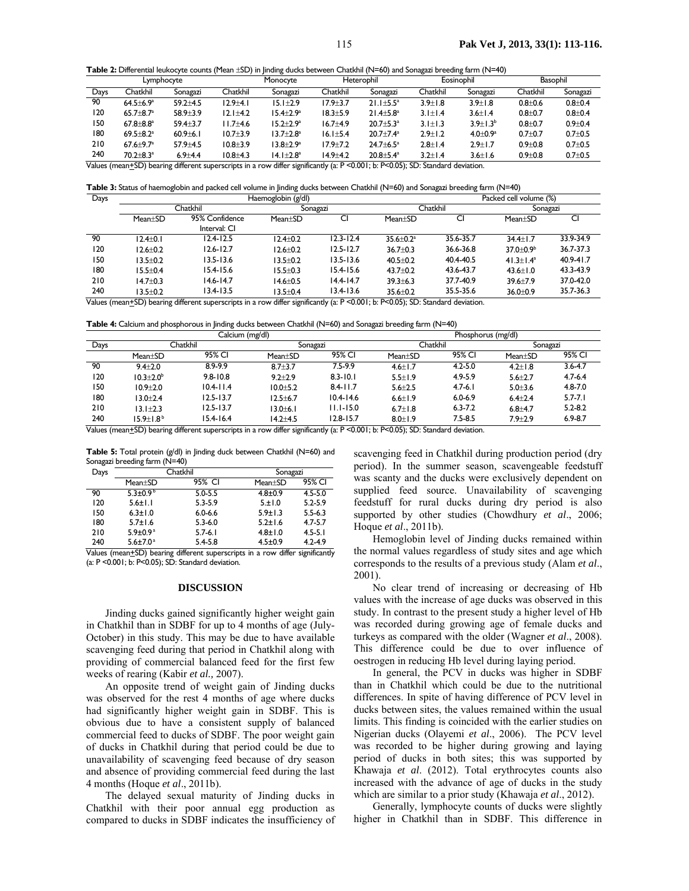**Table 2:** Differential leukocyte counts (Mean ±SD) in Jinding ducks between Chatkhil (N=60) and Sonagazi breeding farm (N=40)

| Lymphocyte                                                                                                                    |                           |              | Monocyte     | <b>Heterophil</b>    |                | Eosinophil                |               | Basophil      |             |             |
|-------------------------------------------------------------------------------------------------------------------------------|---------------------------|--------------|--------------|----------------------|----------------|---------------------------|---------------|---------------|-------------|-------------|
| Days                                                                                                                          | Chatkhil                  | Sonagazi     | Chatkhil     | Sonagazi             | Chatkhil       | Sonagazi                  | Chatkhil      | Sonagazi      | Chatkhil    | Sonagazi    |
| 90                                                                                                                            | $64.5 + 6.9^a$            | $59.2 + 4.5$ | $12.9 + 4.1$ | $15.1 + 2.9$         | $17.9 + 3.7$   | $21.1 + 5.5^a$            | $3.9 + 1.8$   | $3.9 \pm 1.8$ | $0.8 + 0.6$ | $0.8 + 0.4$ |
| 120                                                                                                                           | $65.7 + 8.7$ <sup>a</sup> | $58.9 + 3.9$ | $12.1 + 4.2$ | $15.4 + 2.9^a$       | $18.3 + 5.9$   | $21.4 + 5.8$ <sup>a</sup> | $3.1 + 1.4$   | $3.6 \pm 1.4$ | $0.8 + 0.7$ | $0.8 + 0.4$ |
| 150                                                                                                                           | $67.8 + 8.8^a$            | $59.4 + 3.7$ | $11.7 + 4.6$ | $15.2 + 2.9^a$       | 16.7±4.9       | $20.7 + 5.3$ <sup>a</sup> | $3.1 \pm 1.3$ | $3.9 + 1.3b$  | $0.8 + 0.7$ | $0.9 + 0.4$ |
| 180                                                                                                                           | $69.5 + 8.2^a$            | $60.9 + 6.1$ | $10.7 + 3.9$ | $13.7 + 2.8^{\circ}$ | $16.1 \pm 5.4$ | $20.7 + 7.4^a$            | $2.9 \pm 1.2$ | $4.0 + 0.9a$  | $0.7 + 0.7$ | $0.7 + 0.5$ |
| 210                                                                                                                           | $67.6 + 9.7$ <sup>a</sup> | $57.9 + 4.5$ | $10.8 + 3.9$ | $13.8 + 2.9^a$       | $17.9 + 7.2$   | $24.7 + 6.5^a$            | $2.8 + 1.4$   | $2.9 + 1.7$   | $0.9 + 0.8$ | $0.7 + 0.5$ |
| 240                                                                                                                           | $70.2 + 8.3$ <sup>a</sup> | $6.9 + 4.4$  | $10.8 + 4.3$ | $14.1 + 2.8a$        | $14.9 + 4.2$   | $20.8 + 5.4^a$            | $3.2 \pm 1.4$ | $3.6 \pm 1.6$ | $0.9 + 0.8$ | $0.7 + 0.5$ |
| Values (mean+CD) begring different superceripts in a nour differentialistic (as B <0.001, b, B<0.005), CD, Ctandard deviation |                           |              |              |                      |                |                           |               |               |             |             |

Values (mean+SD) bearing different superscripts in a row differ significantly (a: P <0.001; b: P<0.05); SD: Standard deviation.

**Table 3:** Status of haemoglobin and packed cell volume in Jinding ducks between Chatkhil (N=60) and Sonagazi breeding farm (N=40)

| Days | Haemoglobin (g/dl) |                                                                                                                                     |                |               |               | Packed cell volume (%) |                |               |  |
|------|--------------------|-------------------------------------------------------------------------------------------------------------------------------------|----------------|---------------|---------------|------------------------|----------------|---------------|--|
|      | Chatkhil           |                                                                                                                                     | Sonagazi       |               | Chatkhil      |                        | Sonagazi       |               |  |
|      | Mean+SD            | 95% Confidence                                                                                                                      | $Mean+SD$      | Cı            | $Mean+SD$     | C                      | $Mean+SD$      | CI            |  |
|      |                    | Interval: CI                                                                                                                        |                |               |               |                        |                |               |  |
| 90   | $12.4 + 0.1$       | 12.4-12.5                                                                                                                           | $12.4 \pm 0.2$ | $12.3 - 12.4$ | $35.6 + 0.2a$ | 35.6-35.7              | $34.4 + 1.7$   | 33.9-34.9     |  |
| 120  | $12.6 + 0.2$       | $12.6 - 12.7$                                                                                                                       | $12.6 \pm 0.2$ | $12.5 - 12.7$ | $36.7 + 0.3$  | 36.6-36.8              | $37.0 + 0.9b$  | 36.7-37.3     |  |
| 150  | $13.5 + 0.2$       | 13.5-13.6                                                                                                                           | $13.5 + 0.2$   | $13.5 - 13.6$ | $40.5 + 0.2$  | 40.4-40.5              | $41.3 + 1.4^a$ | $40.9 - 41.7$ |  |
| 180  | $15.5 + 0.4$       | 15.4-15.6                                                                                                                           | $15.5 + 0.3$   | $15.4 - 15.6$ | $43.7 + 0.2$  | 43.6-43.7              | $43.6 + 1.0$   | 43.3-43.9     |  |
| 210  | $14.7 + 0.3$       | 14.6-14.7                                                                                                                           | $14.6 + 0.5$   | $14.4 - 14.7$ | $39.3 + 6.3$  | 37.7-40.9              | $39.6 + 7.9$   | 37.0-42.0     |  |
| 240  | $13.5 + 0.2$       | 13.4-13.5                                                                                                                           | $13.5 + 0.4$   | $13.4 - 13.6$ | $35.6 + 0.2$  | 35.5-35.6              | $36.0 + 0.9$   | 35.7-36.3     |  |
|      |                    | Velues (assess ICD) has sing different currentering in a new differential faculu (c) D =0.001; h; D=0.05); CD; Cennalgual deviation |                |               |               |                        |                |               |  |

Values (mean+SD) bearing different superscripts in a row differ significantly (a: P <0.001; b: P<0.05); SD: Standard deviation.

**Table 4:** Calcium and phosphorous in Jinding ducks between Chatkhil (N=60) and Sonagazi breeding farm (N=40)

|      | Calcium (mg/dl)      |               |              |               | Phosphorus (mg/dl) |             |               |             |
|------|----------------------|---------------|--------------|---------------|--------------------|-------------|---------------|-------------|
| Days | Chatkhil             |               | Sonagazi     |               | Chatkhil           |             | Sonagazi      |             |
|      | Mean+SD              | 95% CI        | $Mean+SD$    | 95% CI        | $Mean \pm SD$      | 95% CI      | $Mean \pm SD$ | 95% CI      |
| 90   | $9.4 + 2.0$          | $8.9 - 9.9$   | $8.7 + 3.7$  | $7.5 - 9.9$   | $4.6 + 1.7$        | $4.2 - 5.0$ | $4.2 + 1.8$   | $3.6 - 4.7$ |
| 120  | $10.3 + 2.0^{\circ}$ | $9.8 - 10.8$  | $9.2 + 2.9$  | $8.3 - 10.1$  | $5.5 + 1.9$        | 4.9-5.9     | $5.6 + 2.7$   | $4.7 - 6.4$ |
| 150  | $10.9 + 2.0$         | $10.4 - 11.4$ | $10.0 + 5.2$ | $8.4 - 11.7$  | $5.6 + 2.5$        | $4.7 - 6.1$ | $5.0 + 3.6$   | $4.8 - 7.0$ |
| 180  | $13.0 + 2.4$         | $12.5 - 13.7$ | $12.5 + 6.7$ | $10.4 - 14.6$ | $6.6 \pm 1.9$      | $6.0 - 6.9$ | $6.4 + 2.4$   | $5.7 - 7.1$ |
| 210  | $13.1 + 2.3$         | $12.5 - 13.7$ | $13.0 + 6.1$ | $11.1 - 15.0$ | 6.7 $\pm$ 1.8      | $6.3 - 7.2$ | $6.8 + 4.7$   | $5.2 - 8.2$ |
| 240  | $15.9 + 1.8^{b}$     | $15.4 - 16.4$ | $14.2 + 4.5$ | $12.8 - 15.7$ | $8.0 \pm 1.9$      | $7.5 - 8.5$ | $7.9 + 2.9$   | $6.9 - 8.7$ |

Values (mean+SD) bearing different superscripts in a row differ significantly (a: P <0.001; b: P<0.05); SD: Standard deviation.

Table 5: Total protein (g/dl) in Jinding duck between Chatkhil (N=60) and Sonagazi breeding farm (N=40)

| Days |                          | Chatkhil    | Sonagazi      |             |  |
|------|--------------------------|-------------|---------------|-------------|--|
|      | $Mean+SD$                | 95% CI      | $Mean+SD$     | 95% CI      |  |
| 90   | $5.3 \pm 0.9^{5}$        | $5.0 - 5.5$ | $4.8 + 0.9$   | $4.5 - 5.0$ |  |
| 120  | $5.6 \pm 1.1$            | $5.3 - 5.9$ | 5.±1.0        | $5.2 - 5.9$ |  |
| 150  | $6.3 \pm 1.0$            | $6.0 - 6.6$ | $5.9 \pm 1.3$ | $5.5 - 6.3$ |  |
| 180  | $5.7 \pm 1.6$            | $5.3 - 6.0$ | $5.2 \pm 1.6$ | $4.7 - 5.7$ |  |
| 210  | $5.9 \pm 0.9^{\text{a}}$ | $5.7 - 6.1$ | $4.8 \pm 1.0$ | $4.5 - 5.1$ |  |
| 240  | $5.6 \pm 7.0^{\text{a}}$ | $5.4 - 5.8$ | $4.5 \pm 0.9$ | $4.2 - 4.9$ |  |

Values (mean+SD) bearing different superscripts in a row differ significantly (a: P <0.001; b: P<0.05); SD: Standard deviation.

#### **DISCUSSION**

Jinding ducks gained significantly higher weight gain in Chatkhil than in SDBF for up to 4 months of age (July-October) in this study. This may be due to have available scavenging feed during that period in Chatkhil along with providing of commercial balanced feed for the first few weeks of rearing (Kabir *et al.,* 2007).

An opposite trend of weight gain of Jinding ducks was observed for the rest 4 months of age where ducks had significantly higher weight gain in SDBF. This is obvious due to have a consistent supply of balanced commercial feed to ducks of SDBF. The poor weight gain of ducks in Chatkhil during that period could be due to unavailability of scavenging feed because of dry season and absence of providing commercial feed during the last 4 months (Hoque *et al*., 2011b).

The delayed sexual maturity of Jinding ducks in Chatkhil with their poor annual egg production as compared to ducks in SDBF indicates the insufficiency of scavenging feed in Chatkhil during production period (dry period). In the summer season, scavengeable feedstuff was scanty and the ducks were exclusively dependent on supplied feed source. Unavailability of scavenging feedstuff for rural ducks during dry period is also supported by other studies (Chowdhury *et al*., 2006; Hoque *et al*., 2011b).

Hemoglobin level of Jinding ducks remained within the normal values regardless of study sites and age which corresponds to the results of a previous study (Alam *et al*., 2001).

No clear trend of increasing or decreasing of Hb values with the increase of age ducks was observed in this study. In contrast to the present study a higher level of Hb was recorded during growing age of female ducks and turkeys as compared with the older (Wagner *et al*., 2008). This difference could be due to over influence of oestrogen in reducing Hb level during laying period.

In general, the PCV in ducks was higher in SDBF than in Chatkhil which could be due to the nutritional differences. In spite of having difference of PCV level in ducks between sites, the values remained within the usual limits. This finding is coincided with the earlier studies on Nigerian ducks (Olayemi *et al*., 2006). The PCV level was recorded to be higher during growing and laying period of ducks in both sites; this was supported by Khawaja *et al*. (2012). Total erythrocytes counts also increased with the advance of age of ducks in the study which are similar to a prior study (Khawaja *et al*., 2012).

Generally, lymphocyte counts of ducks were slightly higher in Chatkhil than in SDBF. This difference in